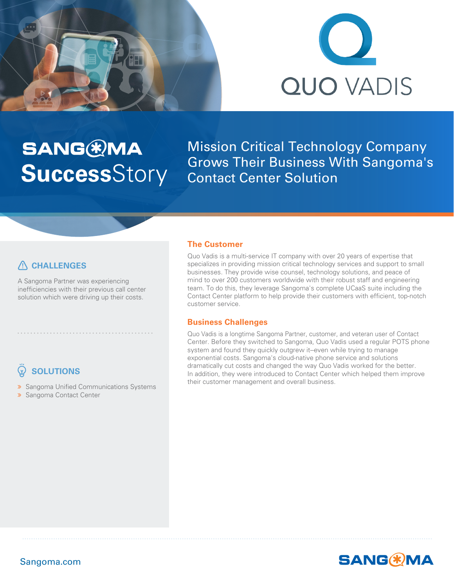



# **SANG®MA Success**Story

Mission Critical Technology Company Grows Their Business With Sangoma's Contact Center Solution

### **CHALLENGES**

A Sangoma Partner was experiencing inefficiencies with their previous call center solution which were driving up their costs.

••••••••••••••••••••••••••••••••••••••••••

## **SOLUTIONS**

**»** Sangoma Unified Communications Systems **»** Sangoma Contact Center

#### **The Customer**

Quo Vadis is a multi-service IT company with over 20 years of expertise that specializes in providing mission critical technology services and support to small businesses. They provide wise counsel, technology solutions, and peace of mind to over 200 customers worldwide with their robust staff and engineering team. To do this, they leverage Sangoma's complete UCaaS suite including the Contact Center platform to help provide their customers with efficient, top-notch customer service.

#### **Business Challenges**

Quo Vadis is a longtime Sangoma Partner, customer, and veteran user of Contact Center. Before they switched to Sangoma, Quo Vadis used a regular POTS phone system and found they quickly outgrew it--even while trying to manage exponential costs. Sangoma's cloud-native phone service and solutions dramatically cut costs and changed the way Quo Vadis worked for the better. In addition, they were introduced to Contact Center which helped them improve their customer management and overall business.